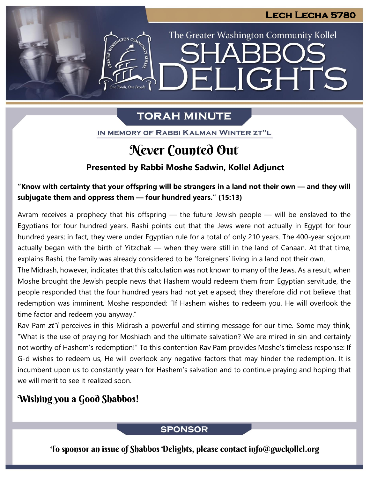The Greater Washington Community Kollel

ELIGHTS

# **TORAH MINUTE**

IN MEMORY OF RABBI KALMAN WINTER ZT"L

# Never Counted Out

### **Presented by Rabbi Moshe Sadwin, Kollel Adjunct**

### "Know with certainty that your offspring will be strangers in a land not their own — and they will **subjugate them and oppress them — four hundred years." (15:13)**

Avram receives a prophecy that his offspring — the future Jewish people — will be enslaved to the Egyptians for four hundred years. Rashi points out that the Jews were not actually in Egypt for four hundred years; in fact, they were under Egyptian rule for a total of only 210 years. The 400-year sojourn actually began with the birth of Yitzchak — when they were still in the land of Canaan. At that time, explains Rashi, the family was already considered to be 'foreigners' living in a land not their own.

The Midrash, however, indicates that this calculation was not known to many of the Jews. As a result, when Moshe brought the Jewish people news that Hashem would redeem them from Egyptian servitude, the people responded that the four hundred years had not yet elapsed; they therefore did not believe that redemption was imminent. Moshe responded: "If Hashem wishes to redeem you, He will overlook the time factor and redeem you anyway."

Rav Pam *zt"l* perceives in this Midrash a powerful and stirring message for our time. Some may think, "What is the use of praying for Moshiach and the ultimate salvation? We are mired in sin and certainly not worthy of Hashem's redemption!" To this contention Rav Pam provides Moshe's timeless response: If G-d wishes to redeem us, He will overlook any negative factors that may hinder the redemption. It is incumbent upon us to constantly yearn for Hashem's salvation and to continue praying and hoping that we will merit to see it realized soon.

## Wishing you a Good Shabbos!

### **SPONSOR**

To sponsor an issue of Shabbos Delights, please contact info@gwckollel.org